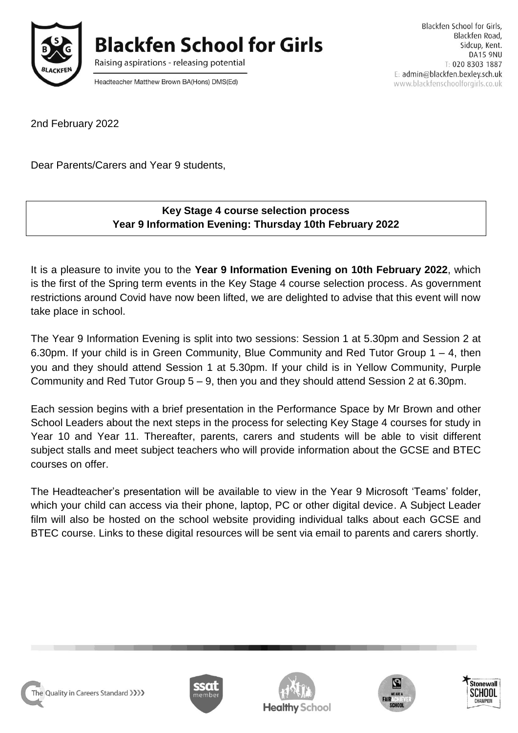

**Blackfen School for Girls** 

Raising aspirations - releasing potential

Headteacher Matthew Brown BA(Hons) DMS(Ed)

Blackfen School for Girls. Blackfen Road, Sidcup, Kent. **DA15 9NU** T: 020 8303 1887 E: admin@blackfen.bexley.sch.uk www.blackfenschoolforgirls.co.uk

2nd February 2022

Dear Parents/Carers and Year 9 students,

## **Key Stage 4 course selection process Year 9 Information Evening: Thursday 10th February 2022**

It is a pleasure to invite you to the **Year 9 Information Evening on 10th February 2022**, which is the first of the Spring term events in the Key Stage 4 course selection process. As government restrictions around Covid have now been lifted, we are delighted to advise that this event will now take place in school.

The Year 9 Information Evening is split into two sessions: Session 1 at 5.30pm and Session 2 at 6.30pm. If your child is in Green Community, Blue Community and Red Tutor Group 1 – 4, then you and they should attend Session 1 at 5.30pm. If your child is in Yellow Community, Purple Community and Red Tutor Group 5 – 9, then you and they should attend Session 2 at 6.30pm.

Each session begins with a brief presentation in the Performance Space by Mr Brown and other School Leaders about the next steps in the process for selecting Key Stage 4 courses for study in Year 10 and Year 11. Thereafter, parents, carers and students will be able to visit different subject stalls and meet subject teachers who will provide information about the GCSE and BTEC courses on offer.

The Headteacher's presentation will be available to view in the Year 9 Microsoft 'Teams' folder, which your child can access via their phone, laptop, PC or other digital device. A Subject Leader film will also be hosted on the school website providing individual talks about each GCSE and BTEC course. Links to these digital resources will be sent via email to parents and carers shortly.

The Quality in Careers Standard >>>>>>